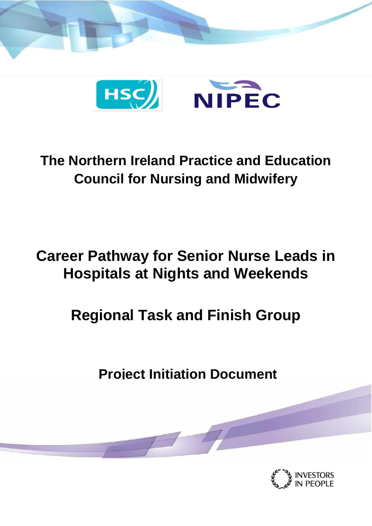



## **The Northern Ireland Practice and Education Council for Nursing and Midwifery**

# **Career Pathway for Senior Nurse Leads in Hospitals at Nights and Weekends**

# **Regional Task and Finish Group**

**Project Initiation Document**

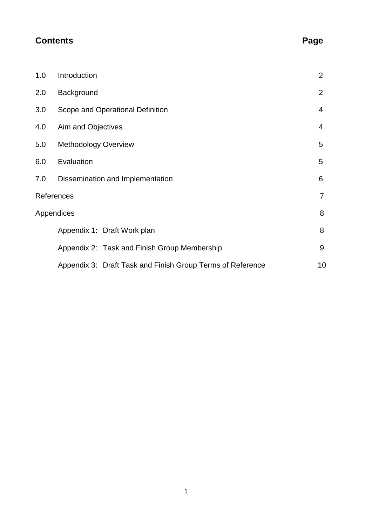### **Contents Page**

| 1.0                          | Introduction                                               | $\overline{2}$ |  |  |
|------------------------------|------------------------------------------------------------|----------------|--|--|
| 2.0                          | Background                                                 |                |  |  |
| 3.0                          | Scope and Operational Definition                           |                |  |  |
| 4.0                          | Aim and Objectives<br>4                                    |                |  |  |
| 5.0                          | <b>Methodology Overview</b>                                | 5              |  |  |
| 6.0                          | Evaluation                                                 | 5              |  |  |
| 7.0                          | Dissemination and Implementation                           | 6              |  |  |
| References<br>$\overline{7}$ |                                                            |                |  |  |
| 8<br>Appendices              |                                                            |                |  |  |
|                              | Appendix 1: Draft Work plan                                | 8              |  |  |
|                              | Appendix 2: Task and Finish Group Membership               | 9              |  |  |
|                              | Appendix 3: Draft Task and Finish Group Terms of Reference | 10             |  |  |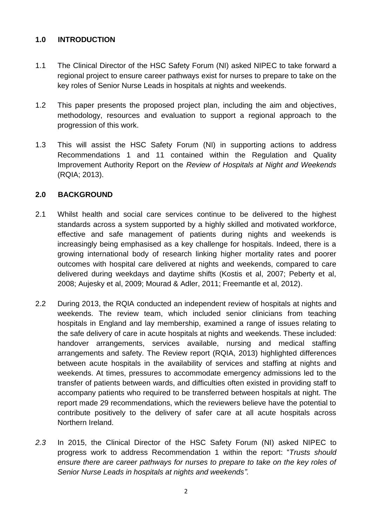#### **1.0 INTRODUCTION**

- 1.1 The Clinical Director of the HSC Safety Forum (NI) asked NIPEC to take forward a regional project to ensure career pathways exist for nurses to prepare to take on the key roles of Senior Nurse Leads in hospitals at nights and weekends.
- 1.2 This paper presents the proposed project plan, including the aim and objectives, methodology, resources and evaluation to support a regional approach to the progression of this work.
- 1.3 This will assist the HSC Safety Forum (NI) in supporting actions to address Recommendations 1 and 11 contained within the Regulation and Quality Improvement Authority Report on the *Review of Hospitals at Night and Weekends* (RQIA; 2013).

#### **2.0 BACKGROUND**

- 2.1 Whilst health and social care services continue to be delivered to the highest standards across a system supported by a highly skilled and motivated workforce, effective and safe management of patients during nights and weekends is increasingly being emphasised as a key challenge for hospitals. Indeed, there is a growing international body of research linking higher mortality rates and poorer outcomes with hospital care delivered at nights and weekends, compared to care delivered during weekdays and daytime shifts (Kostis et al, 2007; Peberty et al, 2008; Aujesky et al, 2009; Mourad & Adler, 2011; Freemantle et al, 2012).
- 2.2 During 2013, the RQIA conducted an independent review of hospitals at nights and weekends. The review team, which included senior clinicians from teaching hospitals in England and lay membership, examined a range of issues relating to the safe delivery of care in acute hospitals at nights and weekends. These included: handover arrangements, services available, nursing and medical staffing arrangements and safety. The Review report (RQIA, 2013) highlighted differences between acute hospitals in the availability of services and staffing at nights and weekends. At times, pressures to accommodate emergency admissions led to the transfer of patients between wards, and difficulties often existed in providing staff to accompany patients who required to be transferred between hospitals at night. The report made 29 recommendations, which the reviewers believe have the potential to contribute positively to the delivery of safer care at all acute hospitals across Northern Ireland.
- *2.3* In 2015, the Clinical Director of the HSC Safety Forum (NI) asked NIPEC to progress work to address Recommendation 1 within the report: "*Trusts should ensure there are career pathways for nurses to prepare to take on the key roles of Senior Nurse Leads in hospitals at nights and weekends".*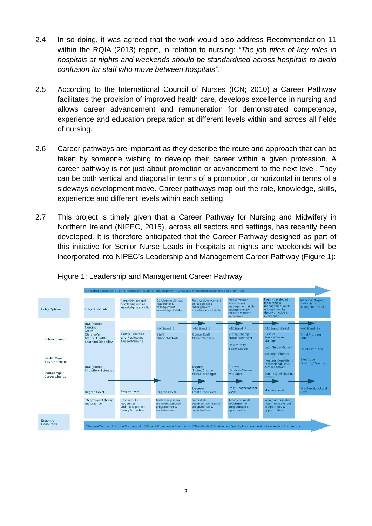- 2.4 In so doing, it was agreed that the work would also address Recommendation 11 within the RQIA (2013) report, in relation to nursing: *"The job titles of key roles in hospitals at nights and weekends should be standardised across hospitals to avoid confusion for staff who move between hospitals".*
- 2.5 According to the International Council of Nurses (ICN; 2010) a Career Pathway facilitates the provision of improved health care, develops excellence in nursing and allows career advancement and remuneration for demonstrated competence, experience and education preparation at different levels within and across all fields of nursing.
- 2.6 Career pathways are important as they describe the route and approach that can be taken by someone wishing to develop their career within a given profession. A career pathway is not just about promotion or advancement to the next level. They can be both vertical and diagonal in terms of a promotion, or horizontal in terms of a sideways development move. Career pathways map out the role, knowledge, skills, experience and different levels within each setting.
- 2.7 This project is timely given that a Career Pathway for Nursing and Midwifery in Northern Ireland (NIPEC, 2015), across all sectors and settings, has recently been developed. It is therefore anticipated that the Career Pathway designed as part of this initiative for Senior Nurse Leads in hospitals at nights and weekends will be incorporated into NIPEC's Leadership and Management Career Pathway (Figure 1):

|                                      | On-going educational, continuous professional development (CPD) and mentoring/coaching opportunities |                                                                  |                                                                          |                                                                                                                                   |                                                                                                          |                                                                                                                   |                                                      |
|--------------------------------------|------------------------------------------------------------------------------------------------------|------------------------------------------------------------------|--------------------------------------------------------------------------|-----------------------------------------------------------------------------------------------------------------------------------|----------------------------------------------------------------------------------------------------------|-------------------------------------------------------------------------------------------------------------------|------------------------------------------------------|
| <b>Entry Options</b>                 | <b>Entry Qualification</b>                                                                           | Consolidating and<br>developing clinical<br>knowledge and skills | Developing clinical,<br>leadership &<br>management<br>knowledge & skills | Further development<br>of leadership &<br>management<br>knowledge and skills                                                      | Well developed<br>leadership &<br>management skills<br>underpinned by<br>theory practice &<br>experience | <b>Highly developed</b><br>leadership &<br>management skills<br>underpinned by<br>theory practice &<br>experience | Advanced/Expert<br>leadership &<br>management skills |
|                                      | <b>BSc (Hons)</b><br><b>Nursing</b>                                                                  |                                                                  | AfC Band 5                                                               | AfC Band 6                                                                                                                        | AfC Band 7                                                                                               | AfC Band 8a-8d                                                                                                    | AfC Band 9+                                          |
| School Leaver                        | Adult<br>Children's<br><b>Mental Health</b>                                                          | <b>Newly Qualified</b><br>and Registered                         | Staff<br>Nurse/Midwife                                                   | <b>Senior Staff</b><br>Nurse/Midwife                                                                                              | Sister/Charge<br>Nurse/Manager                                                                           | Head of<br>Service/Sector<br>Manager                                                                              | <b>Chief Nursing</b><br>Officer                      |
|                                      | <b>Learning Disability</b>                                                                           | Nurse/Midwife                                                    |                                                                          |                                                                                                                                   | Community<br><b>Team Leader</b>                                                                          | Lead Nurse/Midwife                                                                                                | <b>Chief Executive</b>                               |
| <b>Health Care</b><br>Assistant/K101 | <b>BSc (Hons)</b><br><b>Midwifery Sciences</b>                                                       |                                                                  |                                                                          | Deputy<br>Sister/Charge                                                                                                           | Clinical<br>Services/Home                                                                                | <b>Assistant Director</b><br>Regional Consultant/<br>Professional Lead/<br>Advisor/Officer                        | <b>Executive</b><br>Director/Director                |
| Mature Age /<br>Career Change        |                                                                                                      |                                                                  |                                                                          | Nurse/Manager                                                                                                                     | Manager                                                                                                  | <b>Deputy Chief Nursing</b><br>Officer                                                                            |                                                      |
|                                      | <b>Degree Level</b>                                                                                  | <b>Degree Level</b>                                              | <b>Degree Level</b>                                                      | Degree/<br><b>Post-Grad Level</b>                                                                                                 | Post-Grad/Masters<br>Level                                                                               | Masters Level                                                                                                     | Masters/Doctoral<br>Level                            |
|                                      | Integration of theory<br>and practice                                                                | Exposure to<br>leadership<br>and management<br>theory & practice | Multi-disciplinary<br>team/educational<br>programmes &<br>opportunities  | <b>Immediate</b><br>team/across teams/<br>programmes &<br>opportunities                                                           | Across teams &<br>departments/<br>programmes &<br>opportunities                                          | Whole organisation/<br>health care system<br>programmes &<br>opportunities                                        |                                                      |
| Enabling<br><b>Resources</b>         |                                                                                                      |                                                                  |                                                                          |                                                                                                                                   |                                                                                                          |                                                                                                                   |                                                      |
|                                      |                                                                                                      |                                                                  |                                                                          | *Person-Centred Practice Framework *Patient Experience Standards *Standards & Guidance *Quality Improvement *Leadership Framework |                                                                                                          |                                                                                                                   |                                                      |

#### Figure 1: Leadership and Management Career Pathway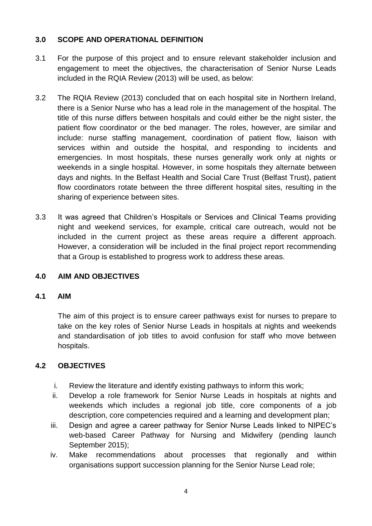#### **3.0 SCOPE AND OPERATIONAL DEFINITION**

- 3.1 For the purpose of this project and to ensure relevant stakeholder inclusion and engagement to meet the objectives, the characterisation of Senior Nurse Leads included in the RQIA Review (2013) will be used, as below:
- 3.2 The RQIA Review (2013) concluded that on each hospital site in Northern Ireland, there is a Senior Nurse who has a lead role in the management of the hospital. The title of this nurse differs between hospitals and could either be the night sister, the patient flow coordinator or the bed manager. The roles, however, are similar and include: nurse staffing management, coordination of patient flow, liaison with services within and outside the hospital, and responding to incidents and emergencies. In most hospitals, these nurses generally work only at nights or weekends in a single hospital. However, in some hospitals they alternate between days and nights. In the Belfast Health and Social Care Trust (Belfast Trust), patient flow coordinators rotate between the three different hospital sites, resulting in the sharing of experience between sites.
- 3.3 It was agreed that Children's Hospitals or Services and Clinical Teams providing night and weekend services, for example, critical care outreach, would not be included in the current project as these areas require a different approach. However, a consideration will be included in the final project report recommending that a Group is established to progress work to address these areas.

#### **4.0 AIM AND OBJECTIVES**

#### **4.1 AIM**

The aim of this project is to ensure career pathways exist for nurses to prepare to take on the key roles of Senior Nurse Leads in hospitals at nights and weekends and standardisation of job titles to avoid confusion for staff who move between hospitals.

#### **4.2 OBJECTIVES**

- i. Review the literature and identify existing pathways to inform this work;
- ii. Develop a role framework for Senior Nurse Leads in hospitals at nights and weekends which includes a regional job title, core components of a job description, core competencies required and a learning and development plan;
- iii. Design and agree a career pathway for Senior Nurse Leads linked to NIPEC's web-based Career Pathway for Nursing and Midwifery (pending launch September 2015);
- iv. Make recommendations about processes that regionally and within organisations support succession planning for the Senior Nurse Lead role;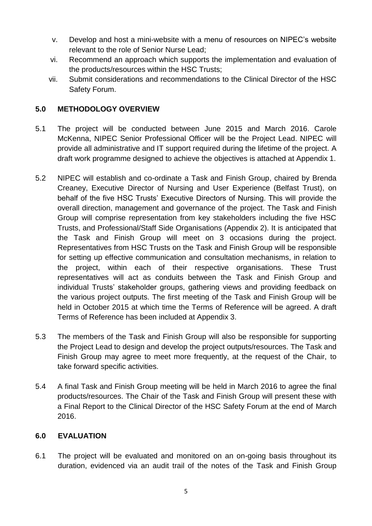- v. Develop and host a mini-website with a menu of resources on NIPEC's website relevant to the role of Senior Nurse Lead;
- vi. Recommend an approach which supports the implementation and evaluation of the products/resources within the HSC Trusts;
- vii. Submit considerations and recommendations to the Clinical Director of the HSC Safety Forum.

#### **5.0 METHODOLOGY OVERVIEW**

- 5.1 The project will be conducted between June 2015 and March 2016. Carole McKenna, NIPEC Senior Professional Officer will be the Project Lead. NIPEC will provide all administrative and IT support required during the lifetime of the project. A draft work programme designed to achieve the objectives is attached at Appendix 1.
- 5.2 NIPEC will establish and co-ordinate a Task and Finish Group, chaired by Brenda Creaney, Executive Director of Nursing and User Experience (Belfast Trust), on behalf of the five HSC Trusts' Executive Directors of Nursing. This will provide the overall direction, management and governance of the project. The Task and Finish Group will comprise representation from key stakeholders including the five HSC Trusts, and Professional/Staff Side Organisations (Appendix 2). It is anticipated that the Task and Finish Group will meet on 3 occasions during the project. Representatives from HSC Trusts on the Task and Finish Group will be responsible for setting up effective communication and consultation mechanisms, in relation to the project, within each of their respective organisations. These Trust representatives will act as conduits between the Task and Finish Group and individual Trusts' stakeholder groups, gathering views and providing feedback on the various project outputs. The first meeting of the Task and Finish Group will be held in October 2015 at which time the Terms of Reference will be agreed. A draft Terms of Reference has been included at Appendix 3.
- 5.3 The members of the Task and Finish Group will also be responsible for supporting the Project Lead to design and develop the project outputs/resources. The Task and Finish Group may agree to meet more frequently, at the request of the Chair, to take forward specific activities.
- 5.4 A final Task and Finish Group meeting will be held in March 2016 to agree the final products/resources. The Chair of the Task and Finish Group will present these with a Final Report to the Clinical Director of the HSC Safety Forum at the end of March 2016.

#### **6.0 EVALUATION**

6.1 The project will be evaluated and monitored on an on-going basis throughout its duration, evidenced via an audit trail of the notes of the Task and Finish Group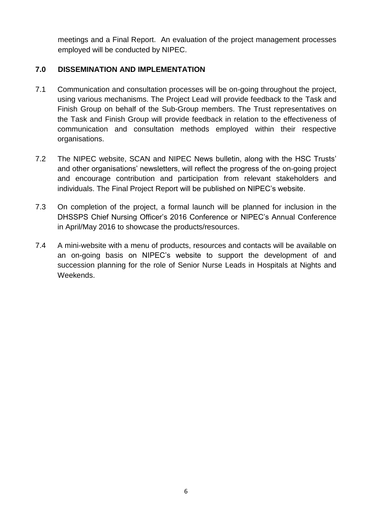meetings and a Final Report. An evaluation of the project management processes employed will be conducted by NIPEC.

#### **7.0 DISSEMINATION AND IMPLEMENTATION**

- 7.1 Communication and consultation processes will be on-going throughout the project, using various mechanisms. The Project Lead will provide feedback to the Task and Finish Group on behalf of the Sub-Group members. The Trust representatives on the Task and Finish Group will provide feedback in relation to the effectiveness of communication and consultation methods employed within their respective organisations.
- 7.2 The NIPEC website, SCAN and NIPEC News bulletin, along with the HSC Trusts' and other organisations' newsletters, will reflect the progress of the on-going project and encourage contribution and participation from relevant stakeholders and individuals. The Final Project Report will be published on NIPEC's website.
- 7.3 On completion of the project, a formal launch will be planned for inclusion in the DHSSPS Chief Nursing Officer's 2016 Conference or NIPEC's Annual Conference in April/May 2016 to showcase the products/resources.
- 7.4 A mini-website with a menu of products, resources and contacts will be available on an on-going basis on NIPEC's website to support the development of and succession planning for the role of Senior Nurse Leads in Hospitals at Nights and Weekends.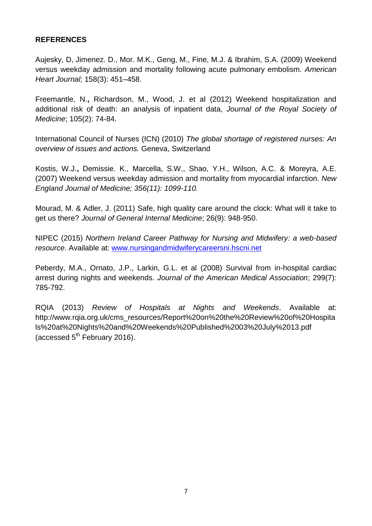#### **REFERENCES**

Aujesky, D, Jimenez. D., Mor. M.K., Geng, M., Fine, M.J. & Ibrahim, S.A. (2009) Weekend versus weekday admission and mortality following acute pulmonary embolism. *American Heart Journal*; 158(3): 451–458.

Freemantle, N.**,** Richardson, M., Wood, J. et al (2012) Weekend hospitalization and additional risk of death: an analysis of inpatient data, *Journal of the Royal Society of Medicine*; 105(2): 74-84.

International Council of Nurses (ICN) (2010) *The global shortage of registered nurses: An overview of issues and actions.* Geneva, Switzerland

Kostis, W.J.**,** Demissie. K., Marcella, S.W., Shao, Y.H., Wilson, A.C. & Moreyra, A.E. (2007) Weekend versus weekday admission and mortality from myocardial infarction. *New England Journal of Medicine; 356(11): 1099-110.*

Mourad, M. & Adler, J. (2011) Safe, high quality care around the clock: What will it take to get us there? *Journal of General Internal Medicine*; 26(9): 948-950.

NIPEC (2015) *Northern Ireland Career Pathway for Nursing and Midwifery: a web-based resource*. Available at: [www.nursingandmidwiferycareersni.hscni.net](http://www.nursingandmidwiferycareersni.hscni.net/)

Peberdy, M.A., Ornato, J.P., Larkin, G.L. et al (2008) Survival from in-hospital cardiac arrest during nights and weekends. *Journal of the American Medical Association*; 299(7): 785-792.

RQIA (2013) *Review of Hospitals at Nights and Weekends*. Available at: http://www.rqia.org.uk/cms\_resources/Report%20on%20the%20Review%20of%20Hospita ls%20at%20Nights%20and%20Weekends%20Published%2003%20July%2013.pdf (accessed  $5<sup>th</sup>$  February 2016).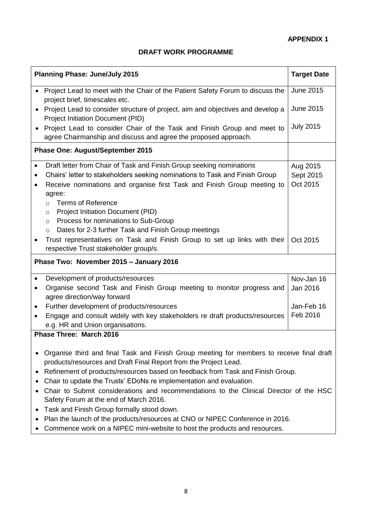#### **DRAFT WORK PROGRAMME**

| <b>Planning Phase: June/July 2015</b>   | <b>Target Date</b>                                                                                                                                                                                                                                                                                                               |                                   |  |  |
|-----------------------------------------|----------------------------------------------------------------------------------------------------------------------------------------------------------------------------------------------------------------------------------------------------------------------------------------------------------------------------------|-----------------------------------|--|--|
|                                         | • Project Lead to meet with the Chair of the Patient Safety Forum to discuss the<br>project brief, timescales etc.                                                                                                                                                                                                               | <b>June 2015</b>                  |  |  |
|                                         | Project Lead to consider structure of project, aim and objectives and develop a<br>Project Initiation Document (PID)                                                                                                                                                                                                             | <b>June 2015</b>                  |  |  |
|                                         | Project Lead to consider Chair of the Task and Finish Group and meet to<br>agree Chairmanship and discuss and agree the proposed approach.                                                                                                                                                                                       | <b>July 2015</b>                  |  |  |
| <b>Phase One: August/September 2015</b> |                                                                                                                                                                                                                                                                                                                                  |                                   |  |  |
| $\bullet$<br>$\bullet$                  | Draft letter from Chair of Task and Finish Group seeking nominations<br>Chairs' letter to stakeholders seeking nominations to Task and Finish Group<br>Receive nominations and organise first Task and Finish Group meeting to<br>agree:                                                                                         | Aug 2015<br>Sept 2015<br>Oct 2015 |  |  |
|                                         | <b>Terms of Reference</b><br>$\circ$<br>Project Initiation Document (PID)<br>$\circ$<br>Process for nominations to Sub-Group<br>$\circ$<br>Dates for 2-3 further Task and Finish Group meetings<br>$\circ$<br>Trust representatives on Task and Finish Group to set up links with their<br>respective Trust stakeholder group/s. | Oct 2015                          |  |  |
| Phase Two: November 2015 - January 2016 |                                                                                                                                                                                                                                                                                                                                  |                                   |  |  |
| $\bullet$                               | Development of products/resources<br>Organise second Task and Finish Group meeting to monitor progress and<br>agree direction/way forward                                                                                                                                                                                        | Nov-Jan 16<br>Jan 2016            |  |  |
| $\bullet$<br>$\bullet$                  | Further development of products/resources<br>Engage and consult widely with key stakeholders re draft products/resources<br>e.g. HR and Union organisations.                                                                                                                                                                     | Jan-Feb 16<br>Feb 2016            |  |  |
|                                         | <b>Phase Three: March 2016</b>                                                                                                                                                                                                                                                                                                   |                                   |  |  |
|                                         | Organise third and final Task and Finish Group meeting for members to receive final draft<br>products/resources and Draft Final Report from the Project Lead.<br>Refinement of products/resources based on feedback from Task and Finish Group.                                                                                  |                                   |  |  |
|                                         | Chair to update the Trusts' EDoNs re implementation and evaluation.<br>Chair to Submit considerations and recommendations to the Clinical Director of the HSC<br>Safety Forum at the end of March 2016.                                                                                                                          |                                   |  |  |
|                                         | Task and Finish Group formally stood down.<br>Plan the launch of the products/resources at CNO or NIPEC Conference in 2016.<br>Commence work on a NIPEC mini-website to host the products and resources.                                                                                                                         |                                   |  |  |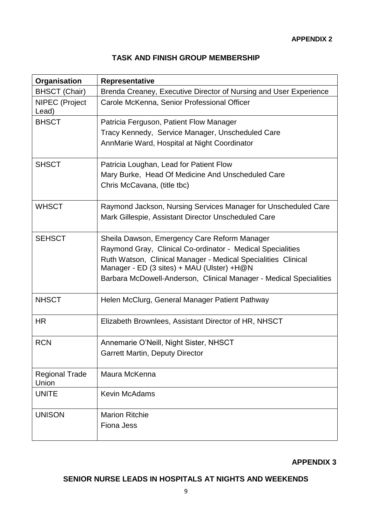### **TASK AND FINISH GROUP MEMBERSHIP**

| Organisation                   | <b>Representative</b>                                              |  |  |  |  |
|--------------------------------|--------------------------------------------------------------------|--|--|--|--|
| <b>BHSCT (Chair)</b>           | Brenda Creaney, Executive Director of Nursing and User Experience  |  |  |  |  |
| <b>NIPEC</b> (Project<br>Lead) | Carole McKenna, Senior Professional Officer                        |  |  |  |  |
| <b>BHSCT</b>                   | Patricia Ferguson, Patient Flow Manager                            |  |  |  |  |
|                                | Tracy Kennedy, Service Manager, Unscheduled Care                   |  |  |  |  |
|                                | AnnMarie Ward, Hospital at Night Coordinator                       |  |  |  |  |
| <b>SHSCT</b>                   | Patricia Loughan, Lead for Patient Flow                            |  |  |  |  |
|                                | Mary Burke, Head Of Medicine And Unscheduled Care                  |  |  |  |  |
|                                | Chris McCavana, (title tbc)                                        |  |  |  |  |
| <b>WHSCT</b>                   | Raymond Jackson, Nursing Services Manager for Unscheduled Care     |  |  |  |  |
|                                | Mark Gillespie, Assistant Director Unscheduled Care                |  |  |  |  |
|                                |                                                                    |  |  |  |  |
| <b>SEHSCT</b>                  | Sheila Dawson, Emergency Care Reform Manager                       |  |  |  |  |
|                                | Raymond Gray, Clinical Co-ordinator - Medical Specialities         |  |  |  |  |
|                                | Ruth Watson, Clinical Manager - Medical Specialities Clinical      |  |  |  |  |
|                                | Manager - ED (3 sites) + MAU (Ulster) +H@N                         |  |  |  |  |
|                                | Barbara McDowell-Anderson, Clinical Manager - Medical Specialities |  |  |  |  |
| <b>NHSCT</b>                   | Helen McClurg, General Manager Patient Pathway                     |  |  |  |  |
| <b>HR</b>                      | Elizabeth Brownlees, Assistant Director of HR, NHSCT               |  |  |  |  |
| <b>RCN</b>                     | Annemarie O'Neill, Night Sister, NHSCT                             |  |  |  |  |
|                                | <b>Garrett Martin, Deputy Director</b>                             |  |  |  |  |
|                                |                                                                    |  |  |  |  |
| <b>Regional Trade</b><br>Union | Maura McKenna                                                      |  |  |  |  |
| <b>UNITE</b>                   | <b>Kevin McAdams</b>                                               |  |  |  |  |
|                                |                                                                    |  |  |  |  |
| <b>UNISON</b>                  | <b>Marion Ritchie</b>                                              |  |  |  |  |
|                                | <b>Fiona Jess</b>                                                  |  |  |  |  |
|                                |                                                                    |  |  |  |  |

**APPENDIX 3**

### **SENIOR NURSE LEADS IN HOSPITALS AT NIGHTS AND WEEKENDS**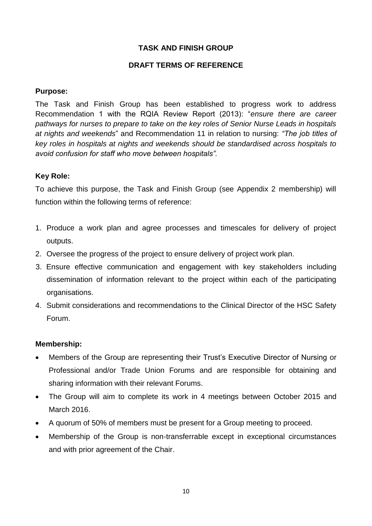#### **TASK AND FINISH GROUP**

#### **DRAFT TERMS OF REFERENCE**

#### **Purpose:**

The Task and Finish Group has been established to progress work to address Recommendation 1 with the RQIA Review Report (2013): "*ensure there are career pathways for nurses to prepare to take on the key roles of Senior Nurse Leads in hospitals at nights and weekends*" and Recommendation 11 in relation to nursing: *"The job titles of key roles in hospitals at nights and weekends should be standardised across hospitals to avoid confusion for staff who move between hospitals".*

#### **Key Role:**

To achieve this purpose, the Task and Finish Group (see Appendix 2 membership) will function within the following terms of reference:

- 1. Produce a work plan and agree processes and timescales for delivery of project outputs.
- 2. Oversee the progress of the project to ensure delivery of project work plan.
- 3. Ensure effective communication and engagement with key stakeholders including dissemination of information relevant to the project within each of the participating organisations.
- 4. Submit considerations and recommendations to the Clinical Director of the HSC Safety Forum.

#### **Membership:**

- Members of the Group are representing their Trust's Executive Director of Nursing or Professional and/or Trade Union Forums and are responsible for obtaining and sharing information with their relevant Forums.
- The Group will aim to complete its work in 4 meetings between October 2015 and March 2016.
- A quorum of 50% of members must be present for a Group meeting to proceed.
- Membership of the Group is non-transferrable except in exceptional circumstances and with prior agreement of the Chair.